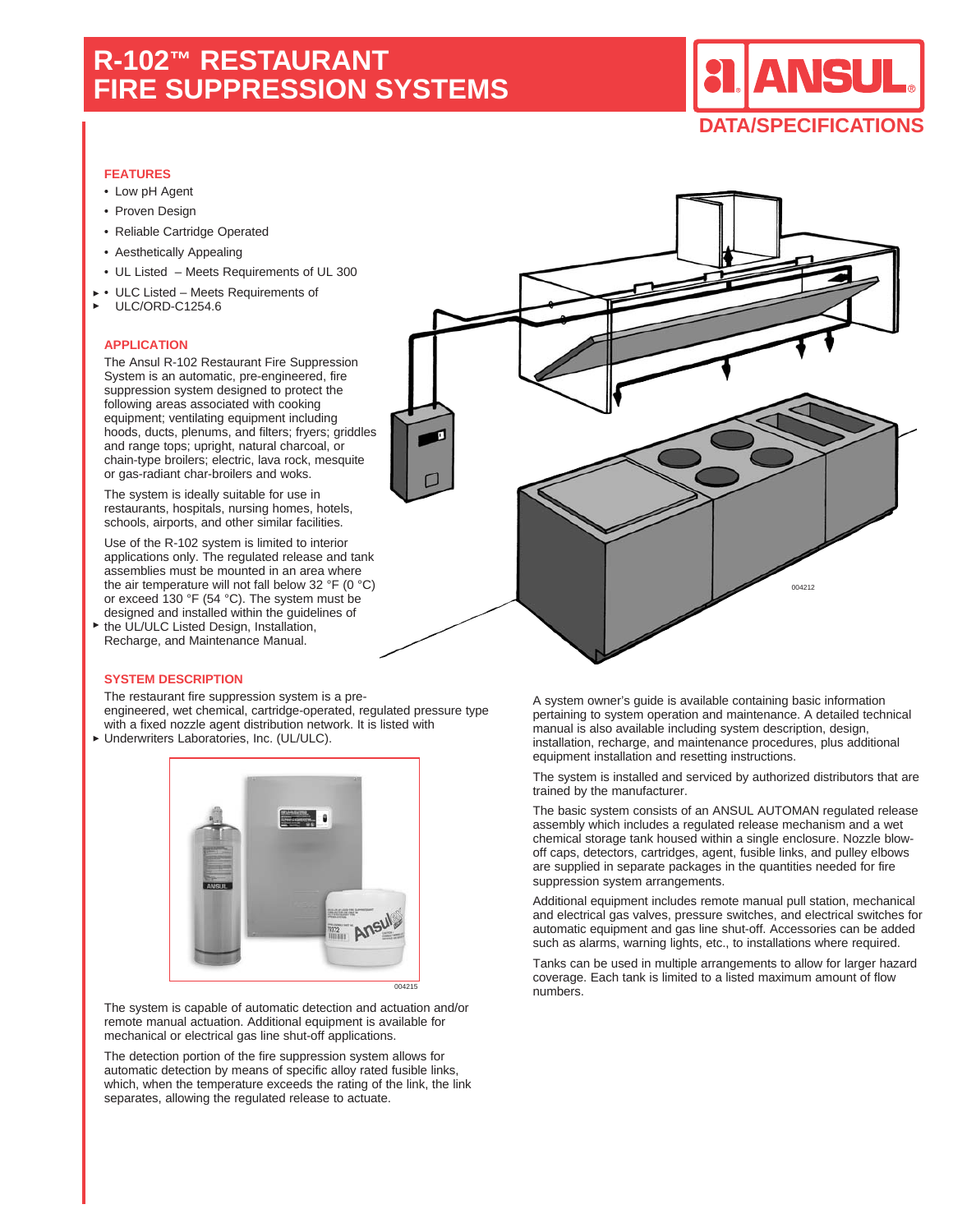# **R-102™ RESTAURANT FIRE SUPPRESSION SYSTEMS**

# **NSUL DATA/SPECIFICATIONS**

### **FEATURES**

- Low pH Agent
- Proven Design
- Reliable Cartridge Operated
- Aesthetically Appealing
- UL Listed Meets Requirements of UL 300
- ULC Listed Meets Requirements of ULC/ORD-C1254.6

#### **APPLICATION**

The Ansul R-102 Restaurant Fire Suppression System is an automatic, pre-engineered, fire suppression system designed to protect the following areas associated with cooking equipment; ventilating equipment including hoods, ducts, plenums, and filters; fryers; griddles and range tops; upright, natural charcoal, or chain-type broilers; electric, lava rock, mesquite or gas-radiant char-broilers and woks.

The system is ideally suitable for use in restaurants, hospitals, nursing homes, hotels, schools, airports, and other similar facilities.

Use of the R-102 system is limited to interior applications only. The regulated release and tank assemblies must be mounted in an area where the air temperature will not fall below 32  $\degree$ F (0  $\degree$ C) or exceed 130 °F (54 °C). The system must be designed and installed within the guidelines of

the UL/ULC Listed Design, Installation, Recharge, and Maintenance Manual.

#### **SYSTEM DESCRIPTION**

The restaurant fire suppression system is a preengineered, wet chemical, cartridge-operated, regulated pressure type

with a fixed nozzle agent distribution network. It is listed with

Underwriters Laboratories, Inc. (UL/ULC).



The system is capable of automatic detection and actuation and/or remote manual actuation. Additional equipment is available for mechanical or electrical gas line shut-off applications.

The detection portion of the fire suppression system allows for automatic detection by means of specific alloy rated fusible links, which, when the temperature exceeds the rating of the link, the link separates, allowing the regulated release to actuate.



A system owner's guide is available containing basic information pertaining to system operation and maintenance. A detailed technical manual is also available including system description, design, installation, recharge, and maintenance procedures, plus additional equipment installation and resetting instructions.

The system is installed and serviced by authorized distributors that are trained by the manufacturer.

The basic system consists of an ANSUL AUTOMAN regulated release assembly which includes a regulated release mechanism and a wet chemical storage tank housed within a single enclosure. Nozzle blowoff caps, detectors, cartridges, agent, fusible links, and pulley elbows are supplied in separate packages in the quantities needed for fire suppression system arrangements.

Additional equipment includes remote manual pull station, mechanical and electrical gas valves, pressure switches, and electrical switches for automatic equipment and gas line shut-off. Accessories can be added such as alarms, warning lights, etc., to installations where required.

Tanks can be used in multiple arrangements to allow for larger hazard coverage. Each tank is limited to a listed maximum amount of flow numbers.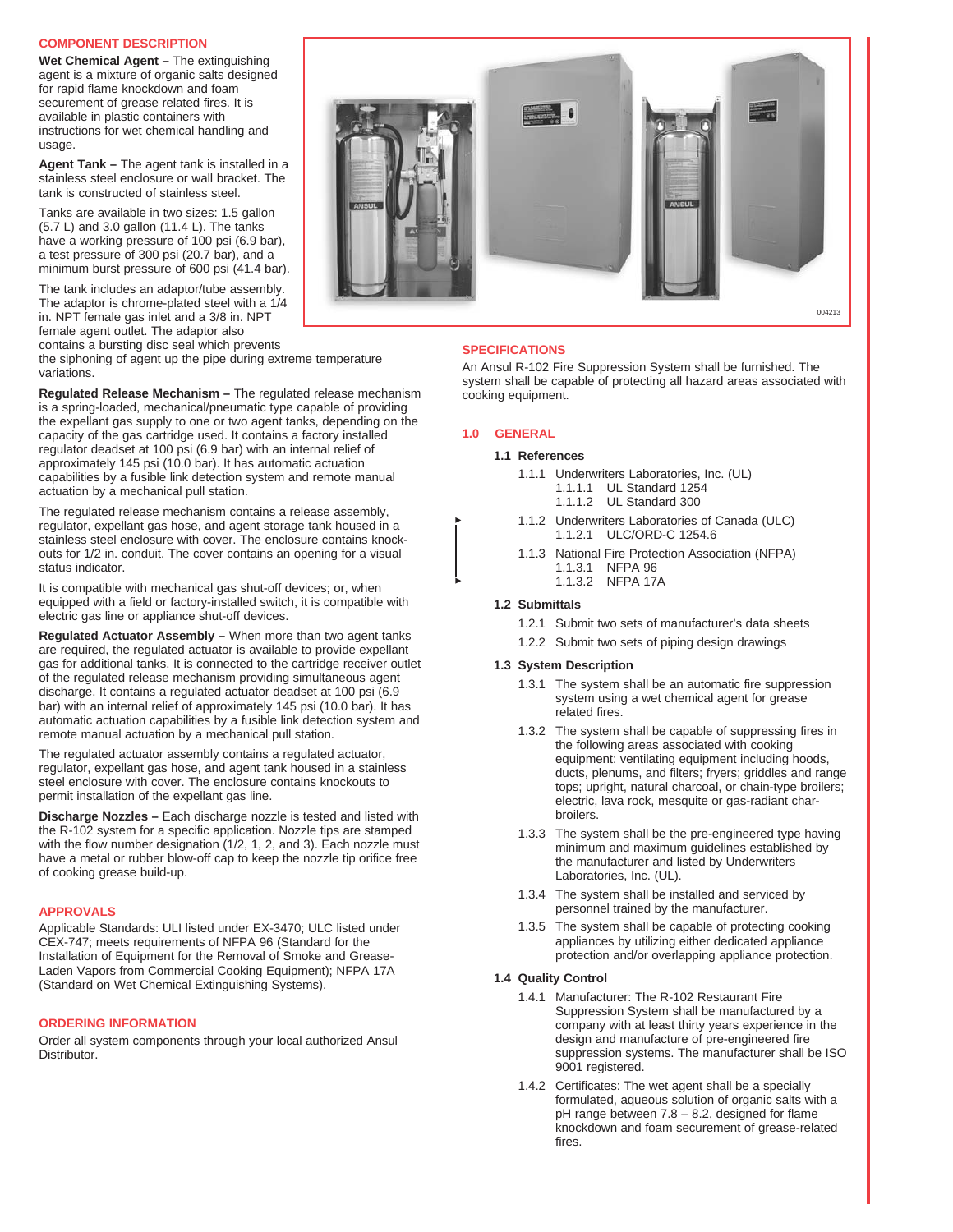#### **COMPONENT DESCRIPTION**

**Wet Chemical Agent –** The extinguishing agent is a mixture of organic salts designed for rapid flame knockdown and foam securement of grease related fires. It is available in plastic containers with instructions for wet chemical handling and usage.

**Agent Tank –** The agent tank is installed in a stainless steel enclosure or wall bracket. The tank is constructed of stainless steel.

Tanks are available in two sizes: 1.5 gallon  $(5.7 \text{ L})$  and 3.0 gallon  $(11.4 \text{ L})$ . The tanks have a working pressure of 100 psi (6.9 bar), a test pressure of 300 psi (20.7 bar), and a minimum burst pressure of 600 psi (41.4 bar).

The tank includes an adaptor/tube assembly. The adaptor is chrome-plated steel with a 1/4 in. NPT female gas inlet and a 3/8 in. NPT female agent outlet. The adaptor also contains a bursting disc seal which prevents

the siphoning of agent up the pipe during extreme temperature variations.

**Regulated Release Mechanism –** The regulated release mechanism is a spring-loaded, mechanical/pneumatic type capable of providing the expellant gas supply to one or two agent tanks, depending on the capacity of the gas cartridge used. It contains a factory installed regulator deadset at 100 psi (6.9 bar) with an internal relief of approximately 145 psi (10.0 bar). It has automatic actuation capabilities by a fusible link detection system and remote manual actuation by a mechanical pull station.

The regulated release mechanism contains a release assembly, regulator, expellant gas hose, and agent storage tank housed in a stainless steel enclosure with cover. The enclosure contains knockouts for 1/2 in. conduit. The cover contains an opening for a visual status indicator.

It is compatible with mechanical gas shut-off devices; or, when equipped with a field or factory-installed switch, it is compatible with electric gas line or appliance shut-off devices.

**Regulated Actuator Assembly –** When more than two agent tanks are required, the regulated actuator is available to provide expellant gas for additional tanks. It is connected to the cartridge receiver outlet of the regulated release mechanism providing simultaneous agent discharge. It contains a regulated actuator deadset at 100 psi (6.9 bar) with an internal relief of approximately 145 psi (10.0 bar). It has automatic actuation capabilities by a fusible link detection system and remote manual actuation by a mechanical pull station.

The regulated actuator assembly contains a regulated actuator, regulator, expellant gas hose, and agent tank housed in a stainless steel enclosure with cover. The enclosure contains knockouts to permit installation of the expellant gas line.

**Discharge Nozzles –** Each discharge nozzle is tested and listed with the R-102 system for a specific application. Nozzle tips are stamped with the flow number designation (1/2, 1, 2, and 3). Each nozzle must have a metal or rubber blow-off cap to keep the nozzle tip orifice free of cooking grease build-up.

#### **APPROVALS**

Applicable Standards: ULI listed under EX-3470; ULC listed under CEX-747; meets requirements of NFPA 96 (Standard for the Installation of Equipment for the Removal of Smoke and Grease-Laden Vapors from Commercial Cooking Equipment); NFPA 17A (Standard on Wet Chemical Extinguishing Systems).

#### **ORDERING INFORMATION**

Order all system components through your local authorized Ansul Distributor.



# **SPECIFICATIONS**

An Ansul R-102 Fire Suppression System shall be furnished. The system shall be capable of protecting all hazard areas associated with cooking equipment.

# **1.0 GENERAL**

#### **1.1 References**

- 1.1.1 Underwriters Laboratories, Inc. (UL)
	- 1.1.1.1 UL Standard 1254
	- 1.1.1.2 UL Standard 300
- 1.1.2 Underwriters Laboratories of Canada (ULC) 1.1.2.1 ULC/ORD-C 1254.6
- 1.1.3 National Fire Protection Association (NFPA) 1.1.3.1 NFPA 96 1.1.3.2 NFPA 17A

#### **1.2 Submittals**

- 1.2.1 Submit two sets of manufacturer's data sheets
- 1.2.2 Submit two sets of piping design drawings

#### **1.3 System Description**

- 1.3.1 The system shall be an automatic fire suppression system using a wet chemical agent for grease related fires.
- 1.3.2 The system shall be capable of suppressing fires in the following areas associated with cooking equipment: ventilating equipment including hoods, ducts, plenums, and filters; fryers; griddles and range tops; upright, natural charcoal, or chain-type broilers; electric, lava rock, mesquite or gas-radiant charbroilers.
- 1.3.3 The system shall be the pre-engineered type having minimum and maximum guidelines established by the manufacturer and listed by Underwriters Laboratories, Inc. (UL).
- 1.3.4 The system shall be installed and serviced by personnel trained by the manufacturer.
- 1.3.5 The system shall be capable of protecting cooking appliances by utilizing either dedicated appliance protection and/or overlapping appliance protection.

#### **1.4 Quality Control**

- 1.4.1 Manufacturer: The R-102 Restaurant Fire Suppression System shall be manufactured by a company with at least thirty years experience in the design and manufacture of pre-engineered fire suppression systems. The manufacturer shall be ISO 9001 registered.
- 1.4.2 Certificates: The wet agent shall be a specially formulated, aqueous solution of organic salts with a pH range between 7.8 – 8.2, designed for flame knockdown and foam securement of grease-related fires.